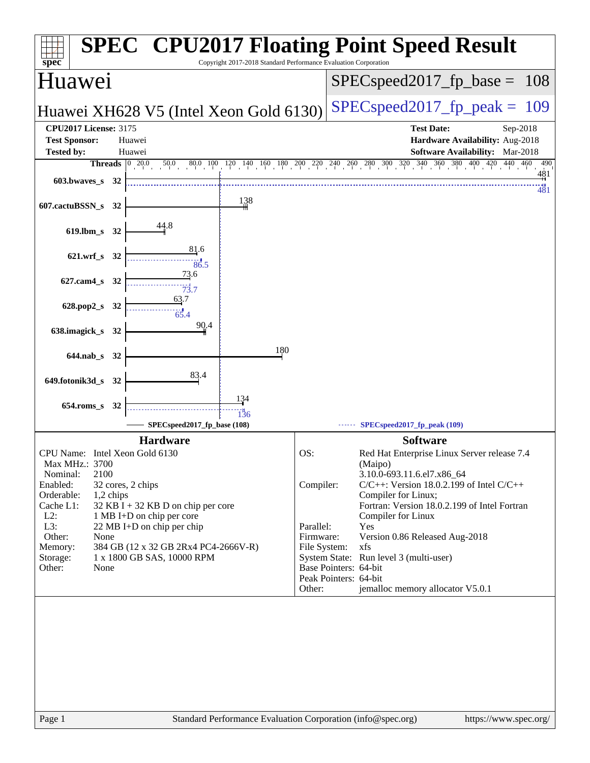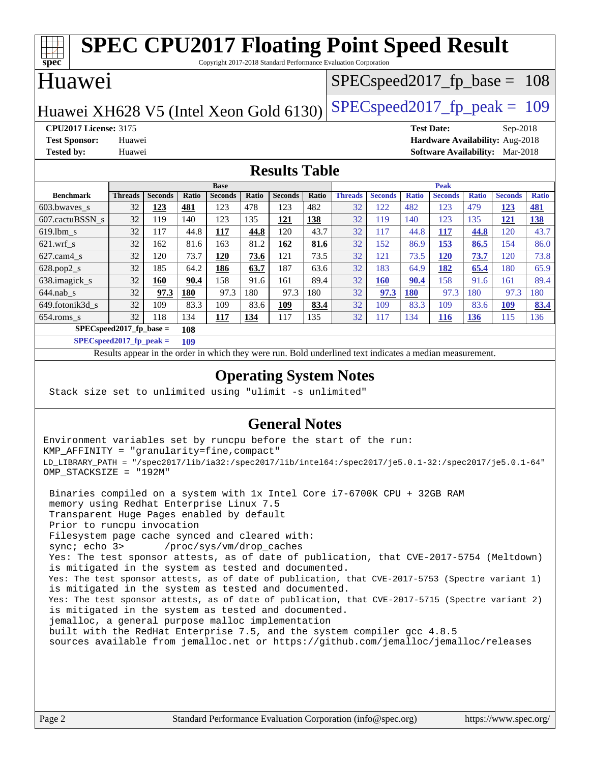| <b>SPEC CPU2017 Floating Point Speed Result</b>                                               |                      |                       |                     |                       |              |                                  |                               |                      |                       |                     |                       |                     |                       |                     |
|-----------------------------------------------------------------------------------------------|----------------------|-----------------------|---------------------|-----------------------|--------------|----------------------------------|-------------------------------|----------------------|-----------------------|---------------------|-----------------------|---------------------|-----------------------|---------------------|
| $\overline{\text{spec}^*}$<br>Copyright 2017-2018 Standard Performance Evaluation Corporation |                      |                       |                     |                       |              |                                  |                               |                      |                       |                     |                       |                     |                       |                     |
| Huawei                                                                                        |                      |                       |                     |                       |              | $SPEC speed2017_f p\_base = 108$ |                               |                      |                       |                     |                       |                     |                       |                     |
| $SPEC speed2017_fp\_peak = 109$<br>Huawei XH628 V5 (Intel Xeon Gold 6130)                     |                      |                       |                     |                       |              |                                  |                               |                      |                       |                     |                       |                     |                       |                     |
| <b>CPU2017 License: 3175</b>                                                                  |                      |                       |                     |                       |              |                                  | <b>Test Date:</b><br>Sep-2018 |                      |                       |                     |                       |                     |                       |                     |
| Hardware Availability: Aug-2018<br><b>Test Sponsor:</b><br>Huawei                             |                      |                       |                     |                       |              |                                  |                               |                      |                       |                     |                       |                     |                       |                     |
| <b>Tested by:</b><br>Software Availability: Mar-2018<br>Huawei                                |                      |                       |                     |                       |              |                                  |                               |                      |                       |                     |                       |                     |                       |                     |
| <b>Results Table</b>                                                                          |                      |                       |                     |                       |              |                                  |                               |                      |                       |                     |                       |                     |                       |                     |
| <b>Base</b>                                                                                   |                      |                       |                     |                       | <b>Peak</b>  |                                  |                               |                      |                       |                     |                       |                     |                       |                     |
| <b>Benchmark</b><br>603.bwaves s                                                              | <b>Threads</b><br>32 | <b>Seconds</b><br>123 | <b>Ratio</b><br>481 | <b>Seconds</b><br>123 | Ratio<br>478 | <b>Seconds</b><br>123            | Ratio<br>482                  | <b>Threads</b><br>32 | <b>Seconds</b><br>122 | <b>Ratio</b><br>482 | <b>Seconds</b><br>123 | <b>Ratio</b><br>479 | <b>Seconds</b><br>123 | <b>Ratio</b><br>481 |
|                                                                                               | 32                   | 119                   | 140                 | 123                   | 135          |                                  | 138                           | 32                   | 119                   | 140                 | 123                   | 135                 |                       |                     |
| 607.cactuBSSN s                                                                               |                      |                       |                     |                       |              | 121<br>120                       | 43.7                          |                      |                       |                     |                       |                     | 121                   | 138                 |
| 619.lbm s                                                                                     | 32                   | 117                   | 44.8                | 117                   | 44.8         |                                  |                               | 32                   | 117                   | 44.8                | 117                   | 44.8                | 120                   | 43.7                |
| $621$ .wrf s                                                                                  | 32                   | 162                   | 81.6                | 163                   | 81.2         | 162                              | 81.6                          | 32                   | 152                   | 86.9                | 153                   | 86.5                | 154                   | 86.0                |
| 627.cam4_s                                                                                    | 32                   | 120                   | 73.7                | <b>120</b>            | 73.6         | 121                              | 73.5                          | 32                   | 121                   | 73.5                | <b>120</b>            | 73.7                | 120                   | 73.8                |
| 628.pop2_s                                                                                    | 32                   | 185                   | 64.2                | 186                   | 63.7         | 187                              | 63.6                          | 32                   | 183                   | 64.9                | 182                   | 65.4                | 180                   | 65.9                |
| 638.imagick_s                                                                                 | 32                   | <b>160</b>            | 90.4                | 158                   | 91.6         | 161                              | 89.4                          | 32                   | <b>160</b>            | 90.4                | 158                   | 91.6                | 161                   | 89.4                |
| $644$ .nab s                                                                                  | 32                   | 97.3                  | 180                 | 97.3                  | 180          | 97.3                             | 180                           | 32                   | 97.3                  | <b>180</b>          | 97.3                  | 180                 | 97.3                  | 180                 |
| 649.fotonik3d s                                                                               | 32                   | 109                   | 83.3                | 109                   | 83.6         | 109                              | 83.4                          | 32                   | 109                   | 83.3                | 109                   | 83.6                | <u>109</u>            | 83.4                |
| $654$ .roms s                                                                                 | 32                   | 118                   | 134                 | 117                   | 134          | 117                              | 135                           | 32                   | 117                   | 134                 | <b>116</b>            | 136                 | 115                   | 136                 |
| $SPECspeed2017$ fp base =<br>108                                                              |                      |                       |                     |                       |              |                                  |                               |                      |                       |                     |                       |                     |                       |                     |
| $SPECspeed2017$ fp peak =                                                                     |                      |                       | 109                 |                       |              |                                  |                               |                      |                       |                     |                       |                     |                       |                     |

Results appear in the [order in which they were run.](http://www.spec.org/auto/cpu2017/Docs/result-fields.html#RunOrder) Bold underlined text [indicates a median measurement](http://www.spec.org/auto/cpu2017/Docs/result-fields.html#Median).

### **[Operating System Notes](http://www.spec.org/auto/cpu2017/Docs/result-fields.html#OperatingSystemNotes)**

Stack size set to unlimited using "ulimit -s unlimited"

### **[General Notes](http://www.spec.org/auto/cpu2017/Docs/result-fields.html#GeneralNotes)**

Environment variables set by runcpu before the start of the run: KMP\_AFFINITY = "granularity=fine,compact" LD\_LIBRARY\_PATH = "/spec2017/lib/ia32:/spec2017/lib/intel64:/spec2017/je5.0.1-32:/spec2017/je5.0.1-64" OMP\_STACKSIZE = "192M"

 Binaries compiled on a system with 1x Intel Core i7-6700K CPU + 32GB RAM memory using Redhat Enterprise Linux 7.5 Transparent Huge Pages enabled by default Prior to runcpu invocation Filesystem page cache synced and cleared with: sync; echo 3> /proc/sys/vm/drop\_caches Yes: The test sponsor attests, as of date of publication, that CVE-2017-5754 (Meltdown) is mitigated in the system as tested and documented. Yes: The test sponsor attests, as of date of publication, that CVE-2017-5753 (Spectre variant 1) is mitigated in the system as tested and documented. Yes: The test sponsor attests, as of date of publication, that CVE-2017-5715 (Spectre variant 2) is mitigated in the system as tested and documented. jemalloc, a general purpose malloc implementation built with the RedHat Enterprise 7.5, and the system compiler gcc 4.8.5 sources available from jemalloc.net or <https://github.com/jemalloc/jemalloc/releases>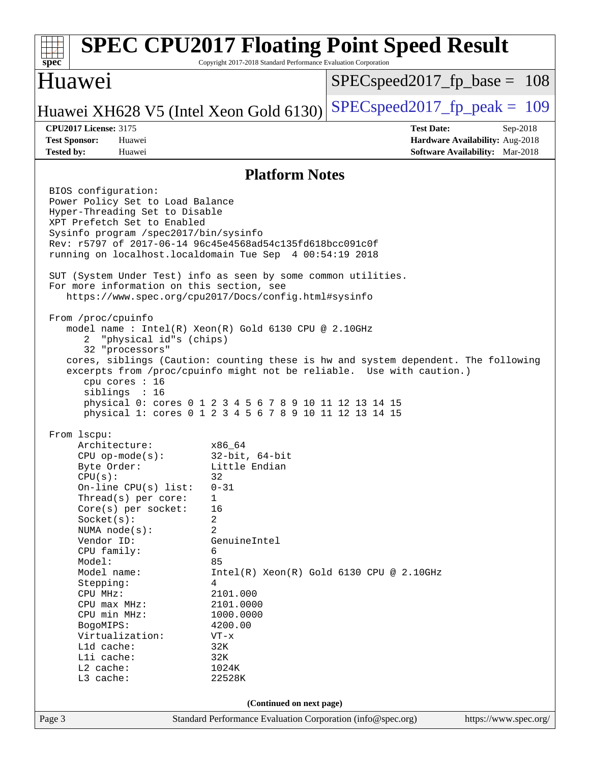### Page 3 Standard Performance Evaluation Corporation [\(info@spec.org\)](mailto:info@spec.org) <https://www.spec.org/> **[spec](http://www.spec.org/) [SPEC CPU2017 Floating Point Speed Result](http://www.spec.org/auto/cpu2017/Docs/result-fields.html#SPECCPU2017FloatingPointSpeedResult)** Copyright 2017-2018 Standard Performance Evaluation Corporation Huawei Huawei XH628 V5 (Intel Xeon Gold 6130) SPECspeed 2017 fp peak = 109 SPECspeed2017 fp base =  $108$ **[CPU2017 License:](http://www.spec.org/auto/cpu2017/Docs/result-fields.html#CPU2017License)** 3175 **[Test Date:](http://www.spec.org/auto/cpu2017/Docs/result-fields.html#TestDate)** Sep-2018 **[Test Sponsor:](http://www.spec.org/auto/cpu2017/Docs/result-fields.html#TestSponsor)** Huawei **[Hardware Availability:](http://www.spec.org/auto/cpu2017/Docs/result-fields.html#HardwareAvailability)** Aug-2018 **[Tested by:](http://www.spec.org/auto/cpu2017/Docs/result-fields.html#Testedby)** Huawei **[Software Availability:](http://www.spec.org/auto/cpu2017/Docs/result-fields.html#SoftwareAvailability)** Mar-2018 **[Platform Notes](http://www.spec.org/auto/cpu2017/Docs/result-fields.html#PlatformNotes)** BIOS configuration: Power Policy Set to Load Balance Hyper-Threading Set to Disable XPT Prefetch Set to Enabled Sysinfo program /spec2017/bin/sysinfo Rev: r5797 of 2017-06-14 96c45e4568ad54c135fd618bcc091c0f running on localhost.localdomain Tue Sep 4 00:54:19 2018 SUT (System Under Test) info as seen by some common utilities. For more information on this section, see <https://www.spec.org/cpu2017/Docs/config.html#sysinfo> From /proc/cpuinfo model name : Intel(R) Xeon(R) Gold 6130 CPU @ 2.10GHz 2 "physical id"s (chips) 32 "processors" cores, siblings (Caution: counting these is hw and system dependent. The following excerpts from /proc/cpuinfo might not be reliable. Use with caution.) cpu cores : 16 siblings : 16 physical 0: cores 0 1 2 3 4 5 6 7 8 9 10 11 12 13 14 15 physical 1: cores 0 1 2 3 4 5 6 7 8 9 10 11 12 13 14 15 From lscpu: Architecture: x86\_64 CPU op-mode(s): 32-bit, 64-bit Byte Order: Little Endian  $CPU(s):$  32 On-line CPU(s) list: 0-31 Thread(s) per core: 1 Core(s) per socket: 16 Socket(s): 2 NUMA node(s): 2 Vendor ID: GenuineIntel CPU family: 6 Model: 85 Model name:  $Intel(R)$  Xeon(R) Gold 6130 CPU @ 2.10GHz Stepping: 4 CPU MHz: 2101.000 CPU max MHz: 2101.0000 CPU min MHz: 1000.0000 BogoMIPS: 4200.00 Virtualization: VT-x L1d cache: 32K<br>
L1i cache: 32K  $L1i$  cache: L2 cache: 1024K L3 cache: 22528K **(Continued on next page)**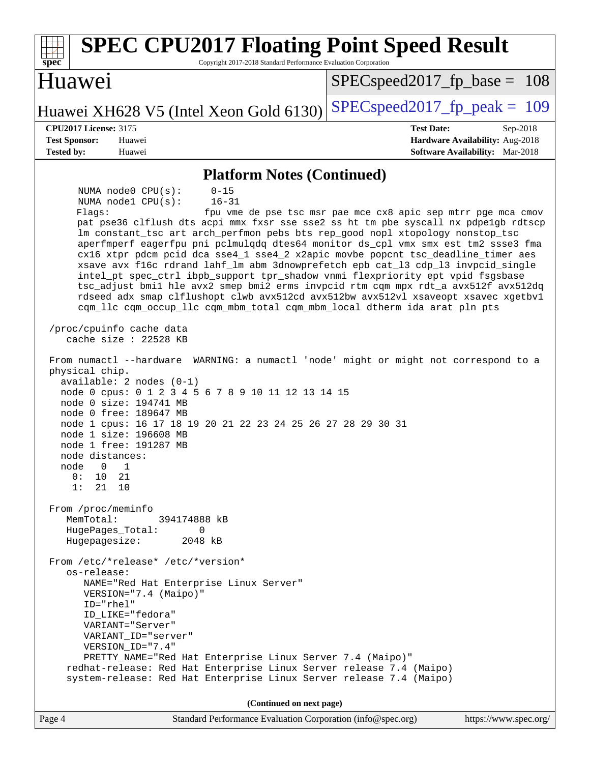| <b>SPEC CPU2017 Floating Point Speed Result</b><br>Copyright 2017-2018 Standard Performance Evaluation Corporation<br>$spec^*$                                                                                                                                                                                                                                                                                                                                                                                                                                                                                                                                                                                                                                                                                                                              |                                                               |  |  |  |  |  |  |
|-------------------------------------------------------------------------------------------------------------------------------------------------------------------------------------------------------------------------------------------------------------------------------------------------------------------------------------------------------------------------------------------------------------------------------------------------------------------------------------------------------------------------------------------------------------------------------------------------------------------------------------------------------------------------------------------------------------------------------------------------------------------------------------------------------------------------------------------------------------|---------------------------------------------------------------|--|--|--|--|--|--|
| Huawei                                                                                                                                                                                                                                                                                                                                                                                                                                                                                                                                                                                                                                                                                                                                                                                                                                                      | $SPEC speed2017_f p\_base = 108$                              |  |  |  |  |  |  |
| Huawei XH628 V5 (Intel Xeon Gold 6130)                                                                                                                                                                                                                                                                                                                                                                                                                                                                                                                                                                                                                                                                                                                                                                                                                      | $SPEC speed2017_fp\_peak = 109$                               |  |  |  |  |  |  |
| <b>CPU2017 License: 3175</b>                                                                                                                                                                                                                                                                                                                                                                                                                                                                                                                                                                                                                                                                                                                                                                                                                                | <b>Test Date:</b><br>Sep-2018                                 |  |  |  |  |  |  |
| <b>Test Sponsor:</b><br>Huawei                                                                                                                                                                                                                                                                                                                                                                                                                                                                                                                                                                                                                                                                                                                                                                                                                              | Hardware Availability: Aug-2018                               |  |  |  |  |  |  |
| <b>Tested by:</b><br>Huawei                                                                                                                                                                                                                                                                                                                                                                                                                                                                                                                                                                                                                                                                                                                                                                                                                                 | <b>Software Availability:</b> Mar-2018                        |  |  |  |  |  |  |
| <b>Platform Notes (Continued)</b>                                                                                                                                                                                                                                                                                                                                                                                                                                                                                                                                                                                                                                                                                                                                                                                                                           |                                                               |  |  |  |  |  |  |
| NUMA node0 CPU(s):<br>$0 - 15$<br>NUMA nodel CPU(s):<br>$16 - 31$<br>Flagg:<br>pat pse36 clflush dts acpi mmx fxsr sse sse2 ss ht tm pbe syscall nx pdpelgb rdtscp<br>lm constant_tsc art arch_perfmon pebs bts rep_good nopl xtopology nonstop_tsc<br>aperfmperf eagerfpu pni pclmulqdq dtes64 monitor ds_cpl vmx smx est tm2 ssse3 fma<br>cx16 xtpr pdcm pcid dca sse4_1 sse4_2 x2apic movbe popcnt tsc_deadline_timer aes<br>xsave avx f16c rdrand lahf_lm abm 3dnowprefetch epb cat_13 cdp_13 invpcid_single<br>intel_pt spec_ctrl ibpb_support tpr_shadow vnmi flexpriority ept vpid fsgsbase<br>tsc_adjust bmil hle avx2 smep bmi2 erms invpcid rtm cqm mpx rdt_a avx512f avx512dq<br>rdseed adx smap clflushopt clwb avx512cd avx512bw avx512vl xsaveopt xsavec xgetbvl<br>cqm_llc cqm_occup_llc cqm_mbm_total cqm_mbm_local dtherm ida arat pln pts | fpu vme de pse tsc msr pae mce cx8 apic sep mtrr pge mca cmov |  |  |  |  |  |  |
| /proc/cpuinfo cache data<br>cache size : 22528 KB                                                                                                                                                                                                                                                                                                                                                                                                                                                                                                                                                                                                                                                                                                                                                                                                           |                                                               |  |  |  |  |  |  |
| From numactl --hardware WARNING: a numactl 'node' might or might not correspond to a<br>physical chip.<br>$available: 2 nodes (0-1)$<br>node 0 cpus: 0 1 2 3 4 5 6 7 8 9 10 11 12 13 14 15<br>node 0 size: 194741 MB<br>node 0 free: 189647 MB<br>node 1 cpus: 16 17 18 19 20 21 22 23 24 25 26 27 28 29 30 31<br>node 1 size: 196608 MB<br>node 1 free: 191287 MB<br>node distances:<br>node<br>$\overline{0}$<br>$\overline{1}$<br>0:<br>10<br>- 21<br>1:<br>21<br>10                                                                                                                                                                                                                                                                                                                                                                                     |                                                               |  |  |  |  |  |  |
| From /proc/meminfo<br>MemTotal:<br>394174888 kB<br>HugePages Total:<br>$\mathbf{0}$<br>2048 kB<br>Hugepagesize:<br>From /etc/*release* /etc/*version*<br>os-release:                                                                                                                                                                                                                                                                                                                                                                                                                                                                                                                                                                                                                                                                                        |                                                               |  |  |  |  |  |  |
| NAME="Red Hat Enterprise Linux Server"<br>VERSION="7.4 (Maipo)"<br>ID="rhel"<br>ID_LIKE="fedora"<br>VARIANT="Server"<br>VARIANT ID="server"<br>VERSION_ID="7.4"<br>PRETTY_NAME="Red Hat Enterprise Linux Server 7.4 (Maipo)"<br>redhat-release: Red Hat Enterprise Linux Server release 7.4 (Maipo)                                                                                                                                                                                                                                                                                                                                                                                                                                                                                                                                                         |                                                               |  |  |  |  |  |  |
| system-release: Red Hat Enterprise Linux Server release 7.4 (Maipo)                                                                                                                                                                                                                                                                                                                                                                                                                                                                                                                                                                                                                                                                                                                                                                                         |                                                               |  |  |  |  |  |  |
| (Continued on next page)                                                                                                                                                                                                                                                                                                                                                                                                                                                                                                                                                                                                                                                                                                                                                                                                                                    |                                                               |  |  |  |  |  |  |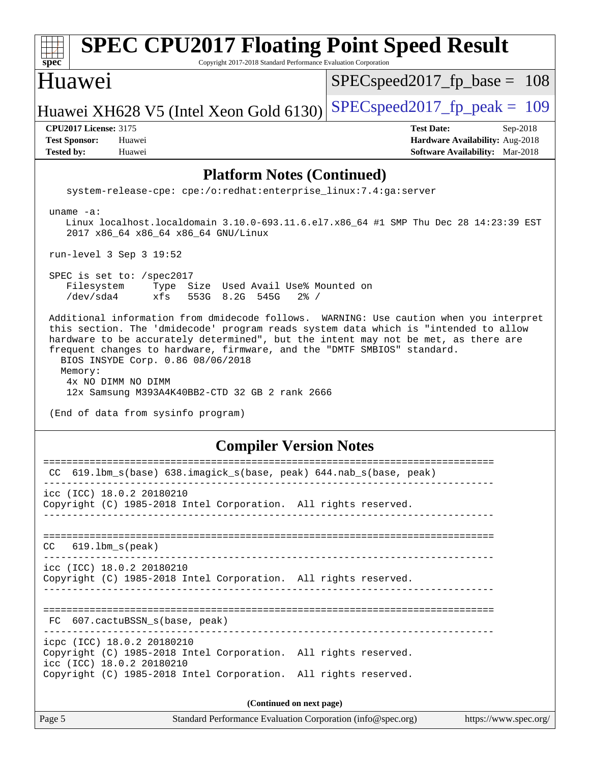| <b>SPEC CPU2017 Floating Point Speed Result</b><br>Spec<br>Copyright 2017-2018 Standard Performance Evaluation Corporation                                                                                                                                                                                                                                                                                                                                                                                   |                                                                                                            |  |  |  |  |  |  |
|--------------------------------------------------------------------------------------------------------------------------------------------------------------------------------------------------------------------------------------------------------------------------------------------------------------------------------------------------------------------------------------------------------------------------------------------------------------------------------------------------------------|------------------------------------------------------------------------------------------------------------|--|--|--|--|--|--|
| Huawei                                                                                                                                                                                                                                                                                                                                                                                                                                                                                                       | $SPEC speed2017_f p\_base = 108$                                                                           |  |  |  |  |  |  |
| Huawei XH628 V5 (Intel Xeon Gold 6130)                                                                                                                                                                                                                                                                                                                                                                                                                                                                       | $SPEC speed2017_fp_peak = 109$                                                                             |  |  |  |  |  |  |
| <b>CPU2017 License: 3175</b><br><b>Test Sponsor:</b><br>Huawei<br>Huawei<br><b>Tested by:</b>                                                                                                                                                                                                                                                                                                                                                                                                                | <b>Test Date:</b><br>Sep-2018<br>Hardware Availability: Aug-2018<br><b>Software Availability:</b> Mar-2018 |  |  |  |  |  |  |
| <b>Platform Notes (Continued)</b>                                                                                                                                                                                                                                                                                                                                                                                                                                                                            |                                                                                                            |  |  |  |  |  |  |
| system-release-cpe: cpe:/o:redhat:enterprise_linux:7.4:ga:server                                                                                                                                                                                                                                                                                                                                                                                                                                             |                                                                                                            |  |  |  |  |  |  |
| $uname -a:$<br>Linux localhost.localdomain 3.10.0-693.11.6.el7.x86_64 #1 SMP Thu Dec 28 14:23:39 EST<br>2017 x86_64 x86_64 x86_64 GNU/Linux                                                                                                                                                                                                                                                                                                                                                                  |                                                                                                            |  |  |  |  |  |  |
| run-level 3 Sep 3 19:52                                                                                                                                                                                                                                                                                                                                                                                                                                                                                      |                                                                                                            |  |  |  |  |  |  |
| SPEC is set to: /spec2017<br>Filesystem<br>Type Size Used Avail Use% Mounted on<br>/dev/sda4<br>xfs<br>553G 8.2G 545G<br>$2\frac{8}{1}$ /                                                                                                                                                                                                                                                                                                                                                                    |                                                                                                            |  |  |  |  |  |  |
| Additional information from dmidecode follows. WARNING: Use caution when you interpret<br>this section. The 'dmidecode' program reads system data which is "intended to allow<br>hardware to be accurately determined", but the intent may not be met, as there are<br>frequent changes to hardware, firmware, and the "DMTF SMBIOS" standard.<br>BIOS INSYDE Corp. 0.86 08/06/2018<br>Memory:<br>4x NO DIMM NO DIMM<br>12x Samsung M393A4K40BB2-CTD 32 GB 2 rank 2666<br>(End of data from sysinfo program) |                                                                                                            |  |  |  |  |  |  |
| <b>Compiler Version Notes</b>                                                                                                                                                                                                                                                                                                                                                                                                                                                                                |                                                                                                            |  |  |  |  |  |  |
| CC 619.1bm_s(base) 638.imagick_s(base, peak) 644.nab_s(base, peak)                                                                                                                                                                                                                                                                                                                                                                                                                                           |                                                                                                            |  |  |  |  |  |  |
| icc (ICC) 18.0.2 20180210<br>Copyright (C) 1985-2018 Intel Corporation. All rights reserved.                                                                                                                                                                                                                                                                                                                                                                                                                 |                                                                                                            |  |  |  |  |  |  |
| $619.1$ bm_s(peak)<br>CC.                                                                                                                                                                                                                                                                                                                                                                                                                                                                                    |                                                                                                            |  |  |  |  |  |  |
| icc (ICC) 18.0.2 20180210<br>Copyright (C) 1985-2018 Intel Corporation. All rights reserved.                                                                                                                                                                                                                                                                                                                                                                                                                 |                                                                                                            |  |  |  |  |  |  |
| FC 607.cactuBSSN_s(base, peak)                                                                                                                                                                                                                                                                                                                                                                                                                                                                               |                                                                                                            |  |  |  |  |  |  |
| icpc (ICC) 18.0.2 20180210<br>Copyright (C) 1985-2018 Intel Corporation. All rights reserved.<br>icc (ICC) 18.0.2 20180210<br>Copyright (C) 1985-2018 Intel Corporation. All rights reserved.                                                                                                                                                                                                                                                                                                                |                                                                                                            |  |  |  |  |  |  |
| (Continued on next page)                                                                                                                                                                                                                                                                                                                                                                                                                                                                                     |                                                                                                            |  |  |  |  |  |  |
| Page 5<br>Standard Performance Evaluation Corporation (info@spec.org)                                                                                                                                                                                                                                                                                                                                                                                                                                        | https://www.spec.org/                                                                                      |  |  |  |  |  |  |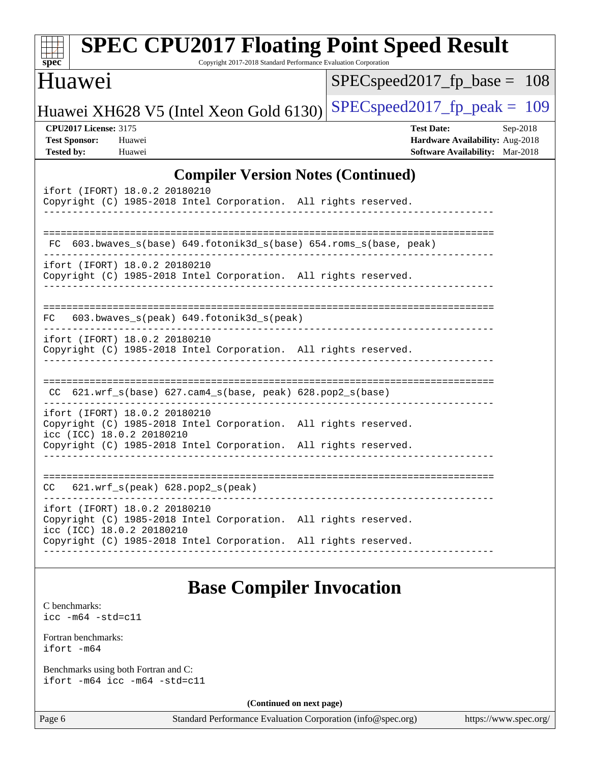| $spec^*$                                                                  | <b>SPEC CPU2017 Floating Point Speed Result</b>                                                                                                                                                  |                          | Copyright 2017-2018 Standard Performance Evaluation Corporation |                                                                                                |                       |  |
|---------------------------------------------------------------------------|--------------------------------------------------------------------------------------------------------------------------------------------------------------------------------------------------|--------------------------|-----------------------------------------------------------------|------------------------------------------------------------------------------------------------|-----------------------|--|
| Huawei                                                                    |                                                                                                                                                                                                  |                          |                                                                 | $SPEC speed2017_fp\_base =$                                                                    | 108                   |  |
|                                                                           | Huawei XH628 V5 (Intel Xeon Gold 6130)                                                                                                                                                           |                          |                                                                 | $SPEC speed2017_fp_peak = 109$                                                                 |                       |  |
| <b>CPU2017 License: 3175</b><br><b>Test Sponsor:</b><br><b>Tested by:</b> | Huawei<br>Huawei                                                                                                                                                                                 |                          |                                                                 | <b>Test Date:</b><br>Hardware Availability: Aug-2018<br><b>Software Availability:</b> Mar-2018 | Sep-2018              |  |
|                                                                           |                                                                                                                                                                                                  |                          | <b>Compiler Version Notes (Continued)</b>                       |                                                                                                |                       |  |
|                                                                           | ifort (IFORT) 18.0.2 20180210<br>Copyright (C) 1985-2018 Intel Corporation. All rights reserved.                                                                                                 |                          |                                                                 |                                                                                                |                       |  |
| FC.                                                                       | 603.bwaves_s(base)    649.fotonik3d_s(base)    654.roms_s(base, peak)                                                                                                                            |                          |                                                                 |                                                                                                |                       |  |
|                                                                           | ifort (IFORT) 18.0.2 20180210<br>Copyright (C) 1985-2018 Intel Corporation. All rights reserved.                                                                                                 |                          |                                                                 |                                                                                                |                       |  |
| FC.                                                                       | 603.bwaves_s(peak) 649.fotonik3d_s(peak)                                                                                                                                                         |                          |                                                                 |                                                                                                |                       |  |
|                                                                           | ifort (IFORT) 18.0.2 20180210<br>Copyright (C) 1985-2018 Intel Corporation. All rights reserved.                                                                                                 |                          |                                                                 |                                                                                                |                       |  |
|                                                                           | $CC$ 621.wrf_s(base) 627.cam4_s(base, peak) 628.pop2_s(base)                                                                                                                                     |                          |                                                                 |                                                                                                |                       |  |
|                                                                           | ifort (IFORT) 18.0.2 20180210<br>Copyright (C) 1985-2018 Intel Corporation. All rights reserved.<br>icc (ICC) 18.0.2 20180210<br>Copyright (C) 1985-2018 Intel Corporation. All rights reserved. |                          |                                                                 |                                                                                                |                       |  |
|                                                                           |                                                                                                                                                                                                  |                          |                                                                 |                                                                                                |                       |  |
| CC                                                                        | $621.wrf_s(peak)$ $628.pop2_s(peak)$                                                                                                                                                             |                          |                                                                 |                                                                                                |                       |  |
|                                                                           | ifort (IFORT) 18.0.2 20180210<br>Copyright (C) 1985-2018 Intel Corporation. All rights reserved.<br>icc (ICC) 18.0.2 20180210                                                                    |                          |                                                                 |                                                                                                |                       |  |
|                                                                           | Copyright (C) 1985-2018 Intel Corporation. All rights reserved.                                                                                                                                  |                          |                                                                 |                                                                                                |                       |  |
|                                                                           |                                                                                                                                                                                                  |                          | <b>Base Compiler Invocation</b>                                 |                                                                                                |                       |  |
| C benchmarks:<br>$\text{icc}$ -m64 -std=c11                               |                                                                                                                                                                                                  |                          |                                                                 |                                                                                                |                       |  |
| Fortran benchmarks:<br>ifort -m64                                         |                                                                                                                                                                                                  |                          |                                                                 |                                                                                                |                       |  |
|                                                                           | Benchmarks using both Fortran and C:<br>ifort -m64 icc -m64 -std=c11                                                                                                                             |                          |                                                                 |                                                                                                |                       |  |
|                                                                           |                                                                                                                                                                                                  | (Continued on next page) |                                                                 |                                                                                                |                       |  |
| Page 6                                                                    |                                                                                                                                                                                                  |                          | Standard Performance Evaluation Corporation (info@spec.org)     |                                                                                                | https://www.spec.org/ |  |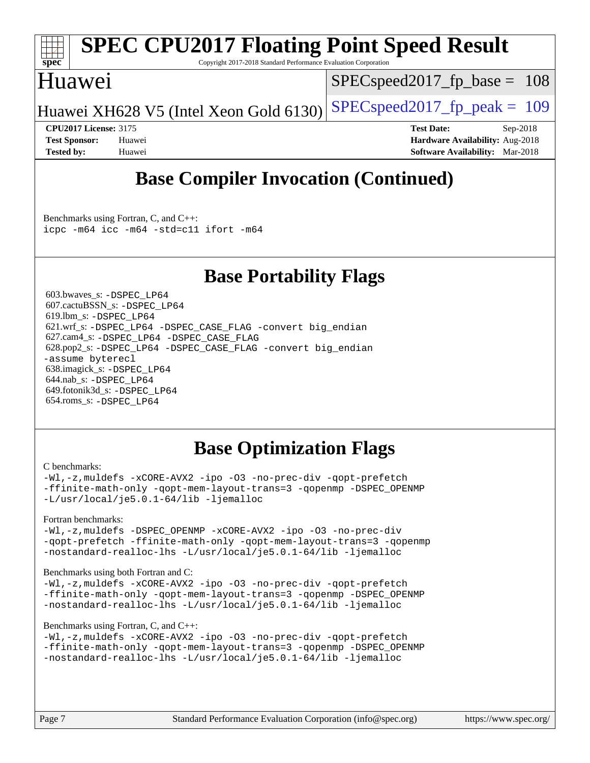

# **[SPEC CPU2017 Floating Point Speed Result](http://www.spec.org/auto/cpu2017/Docs/result-fields.html#SPECCPU2017FloatingPointSpeedResult)**

Copyright 2017-2018 Standard Performance Evaluation Corporation

## Huawei

SPECspeed2017 fp base =  $108$ 

Huawei XH628 V5 (Intel Xeon Gold 6130) SPECspeed 2017 fp peak  $= 109$ 

**[CPU2017 License:](http://www.spec.org/auto/cpu2017/Docs/result-fields.html#CPU2017License)** 3175 **[Test Date:](http://www.spec.org/auto/cpu2017/Docs/result-fields.html#TestDate)** Sep-2018 **[Test Sponsor:](http://www.spec.org/auto/cpu2017/Docs/result-fields.html#TestSponsor)** Huawei **[Hardware Availability:](http://www.spec.org/auto/cpu2017/Docs/result-fields.html#HardwareAvailability)** Aug-2018 **[Tested by:](http://www.spec.org/auto/cpu2017/Docs/result-fields.html#Testedby)** Huawei **[Software Availability:](http://www.spec.org/auto/cpu2017/Docs/result-fields.html#SoftwareAvailability)** Mar-2018

## **[Base Compiler Invocation \(Continued\)](http://www.spec.org/auto/cpu2017/Docs/result-fields.html#BaseCompilerInvocation)**

[Benchmarks using Fortran, C, and C++:](http://www.spec.org/auto/cpu2017/Docs/result-fields.html#BenchmarksusingFortranCandCXX) [icpc -m64](http://www.spec.org/cpu2017/results/res2018q4/cpu2017-20181025-09291.flags.html#user_CC_CXX_FCbase_intel_icpc_64bit_4ecb2543ae3f1412ef961e0650ca070fec7b7afdcd6ed48761b84423119d1bf6bdf5cad15b44d48e7256388bc77273b966e5eb805aefd121eb22e9299b2ec9d9) [icc -m64 -std=c11](http://www.spec.org/cpu2017/results/res2018q4/cpu2017-20181025-09291.flags.html#user_CC_CXX_FCbase_intel_icc_64bit_c11_33ee0cdaae7deeeab2a9725423ba97205ce30f63b9926c2519791662299b76a0318f32ddfffdc46587804de3178b4f9328c46fa7c2b0cd779d7a61945c91cd35) [ifort -m64](http://www.spec.org/cpu2017/results/res2018q4/cpu2017-20181025-09291.flags.html#user_CC_CXX_FCbase_intel_ifort_64bit_24f2bb282fbaeffd6157abe4f878425411749daecae9a33200eee2bee2fe76f3b89351d69a8130dd5949958ce389cf37ff59a95e7a40d588e8d3a57e0c3fd751)

## **[Base Portability Flags](http://www.spec.org/auto/cpu2017/Docs/result-fields.html#BasePortabilityFlags)**

 603.bwaves\_s: [-DSPEC\\_LP64](http://www.spec.org/cpu2017/results/res2018q4/cpu2017-20181025-09291.flags.html#suite_basePORTABILITY603_bwaves_s_DSPEC_LP64) 607.cactuBSSN\_s: [-DSPEC\\_LP64](http://www.spec.org/cpu2017/results/res2018q4/cpu2017-20181025-09291.flags.html#suite_basePORTABILITY607_cactuBSSN_s_DSPEC_LP64) 619.lbm\_s: [-DSPEC\\_LP64](http://www.spec.org/cpu2017/results/res2018q4/cpu2017-20181025-09291.flags.html#suite_basePORTABILITY619_lbm_s_DSPEC_LP64) 621.wrf\_s: [-DSPEC\\_LP64](http://www.spec.org/cpu2017/results/res2018q4/cpu2017-20181025-09291.flags.html#suite_basePORTABILITY621_wrf_s_DSPEC_LP64) [-DSPEC\\_CASE\\_FLAG](http://www.spec.org/cpu2017/results/res2018q4/cpu2017-20181025-09291.flags.html#b621.wrf_s_baseCPORTABILITY_DSPEC_CASE_FLAG) [-convert big\\_endian](http://www.spec.org/cpu2017/results/res2018q4/cpu2017-20181025-09291.flags.html#user_baseFPORTABILITY621_wrf_s_convert_big_endian_c3194028bc08c63ac5d04de18c48ce6d347e4e562e8892b8bdbdc0214820426deb8554edfa529a3fb25a586e65a3d812c835984020483e7e73212c4d31a38223) 627.cam4\_s: [-DSPEC\\_LP64](http://www.spec.org/cpu2017/results/res2018q4/cpu2017-20181025-09291.flags.html#suite_basePORTABILITY627_cam4_s_DSPEC_LP64) [-DSPEC\\_CASE\\_FLAG](http://www.spec.org/cpu2017/results/res2018q4/cpu2017-20181025-09291.flags.html#b627.cam4_s_baseCPORTABILITY_DSPEC_CASE_FLAG) 628.pop2\_s: [-DSPEC\\_LP64](http://www.spec.org/cpu2017/results/res2018q4/cpu2017-20181025-09291.flags.html#suite_basePORTABILITY628_pop2_s_DSPEC_LP64) [-DSPEC\\_CASE\\_FLAG](http://www.spec.org/cpu2017/results/res2018q4/cpu2017-20181025-09291.flags.html#b628.pop2_s_baseCPORTABILITY_DSPEC_CASE_FLAG) [-convert big\\_endian](http://www.spec.org/cpu2017/results/res2018q4/cpu2017-20181025-09291.flags.html#user_baseFPORTABILITY628_pop2_s_convert_big_endian_c3194028bc08c63ac5d04de18c48ce6d347e4e562e8892b8bdbdc0214820426deb8554edfa529a3fb25a586e65a3d812c835984020483e7e73212c4d31a38223) [-assume byterecl](http://www.spec.org/cpu2017/results/res2018q4/cpu2017-20181025-09291.flags.html#user_baseFPORTABILITY628_pop2_s_assume_byterecl_7e47d18b9513cf18525430bbf0f2177aa9bf368bc7a059c09b2c06a34b53bd3447c950d3f8d6c70e3faf3a05c8557d66a5798b567902e8849adc142926523472) 638.imagick\_s: [-DSPEC\\_LP64](http://www.spec.org/cpu2017/results/res2018q4/cpu2017-20181025-09291.flags.html#suite_basePORTABILITY638_imagick_s_DSPEC_LP64) 644.nab\_s: [-DSPEC\\_LP64](http://www.spec.org/cpu2017/results/res2018q4/cpu2017-20181025-09291.flags.html#suite_basePORTABILITY644_nab_s_DSPEC_LP64) 649.fotonik3d\_s: [-DSPEC\\_LP64](http://www.spec.org/cpu2017/results/res2018q4/cpu2017-20181025-09291.flags.html#suite_basePORTABILITY649_fotonik3d_s_DSPEC_LP64) 654.roms\_s: [-DSPEC\\_LP64](http://www.spec.org/cpu2017/results/res2018q4/cpu2017-20181025-09291.flags.html#suite_basePORTABILITY654_roms_s_DSPEC_LP64)

## **[Base Optimization Flags](http://www.spec.org/auto/cpu2017/Docs/result-fields.html#BaseOptimizationFlags)**

#### [C benchmarks](http://www.spec.org/auto/cpu2017/Docs/result-fields.html#Cbenchmarks):

[-Wl,-z,muldefs](http://www.spec.org/cpu2017/results/res2018q4/cpu2017-20181025-09291.flags.html#user_CCbase_link_force_multiple1_b4cbdb97b34bdee9ceefcfe54f4c8ea74255f0b02a4b23e853cdb0e18eb4525ac79b5a88067c842dd0ee6996c24547a27a4b99331201badda8798ef8a743f577) [-xCORE-AVX2](http://www.spec.org/cpu2017/results/res2018q4/cpu2017-20181025-09291.flags.html#user_CCbase_f-xCORE-AVX2) [-ipo](http://www.spec.org/cpu2017/results/res2018q4/cpu2017-20181025-09291.flags.html#user_CCbase_f-ipo) [-O3](http://www.spec.org/cpu2017/results/res2018q4/cpu2017-20181025-09291.flags.html#user_CCbase_f-O3) [-no-prec-div](http://www.spec.org/cpu2017/results/res2018q4/cpu2017-20181025-09291.flags.html#user_CCbase_f-no-prec-div) [-qopt-prefetch](http://www.spec.org/cpu2017/results/res2018q4/cpu2017-20181025-09291.flags.html#user_CCbase_f-qopt-prefetch) [-ffinite-math-only](http://www.spec.org/cpu2017/results/res2018q4/cpu2017-20181025-09291.flags.html#user_CCbase_f_finite_math_only_cb91587bd2077682c4b38af759c288ed7c732db004271a9512da14a4f8007909a5f1427ecbf1a0fb78ff2a814402c6114ac565ca162485bbcae155b5e4258871) [-qopt-mem-layout-trans=3](http://www.spec.org/cpu2017/results/res2018q4/cpu2017-20181025-09291.flags.html#user_CCbase_f-qopt-mem-layout-trans_de80db37974c74b1f0e20d883f0b675c88c3b01e9d123adea9b28688d64333345fb62bc4a798493513fdb68f60282f9a726aa07f478b2f7113531aecce732043) [-qopenmp](http://www.spec.org/cpu2017/results/res2018q4/cpu2017-20181025-09291.flags.html#user_CCbase_qopenmp_16be0c44f24f464004c6784a7acb94aca937f053568ce72f94b139a11c7c168634a55f6653758ddd83bcf7b8463e8028bb0b48b77bcddc6b78d5d95bb1df2967) [-DSPEC\\_OPENMP](http://www.spec.org/cpu2017/results/res2018q4/cpu2017-20181025-09291.flags.html#suite_CCbase_DSPEC_OPENMP) [-L/usr/local/je5.0.1-64/lib](http://www.spec.org/cpu2017/results/res2018q4/cpu2017-20181025-09291.flags.html#user_CCbase_jemalloc_link_path64_4b10a636b7bce113509b17f3bd0d6226c5fb2346b9178c2d0232c14f04ab830f976640479e5c33dc2bcbbdad86ecfb6634cbbd4418746f06f368b512fced5394) [-ljemalloc](http://www.spec.org/cpu2017/results/res2018q4/cpu2017-20181025-09291.flags.html#user_CCbase_jemalloc_link_lib_d1249b907c500fa1c0672f44f562e3d0f79738ae9e3c4a9c376d49f265a04b9c99b167ecedbf6711b3085be911c67ff61f150a17b3472be731631ba4d0471706)

### [Fortran benchmarks](http://www.spec.org/auto/cpu2017/Docs/result-fields.html#Fortranbenchmarks):

[-Wl,-z,muldefs](http://www.spec.org/cpu2017/results/res2018q4/cpu2017-20181025-09291.flags.html#user_FCbase_link_force_multiple1_b4cbdb97b34bdee9ceefcfe54f4c8ea74255f0b02a4b23e853cdb0e18eb4525ac79b5a88067c842dd0ee6996c24547a27a4b99331201badda8798ef8a743f577) -DSPEC OPENMP [-xCORE-AVX2](http://www.spec.org/cpu2017/results/res2018q4/cpu2017-20181025-09291.flags.html#user_FCbase_f-xCORE-AVX2) [-ipo](http://www.spec.org/cpu2017/results/res2018q4/cpu2017-20181025-09291.flags.html#user_FCbase_f-ipo) [-O3](http://www.spec.org/cpu2017/results/res2018q4/cpu2017-20181025-09291.flags.html#user_FCbase_f-O3) [-no-prec-div](http://www.spec.org/cpu2017/results/res2018q4/cpu2017-20181025-09291.flags.html#user_FCbase_f-no-prec-div) [-qopt-prefetch](http://www.spec.org/cpu2017/results/res2018q4/cpu2017-20181025-09291.flags.html#user_FCbase_f-qopt-prefetch) [-ffinite-math-only](http://www.spec.org/cpu2017/results/res2018q4/cpu2017-20181025-09291.flags.html#user_FCbase_f_finite_math_only_cb91587bd2077682c4b38af759c288ed7c732db004271a9512da14a4f8007909a5f1427ecbf1a0fb78ff2a814402c6114ac565ca162485bbcae155b5e4258871) [-qopt-mem-layout-trans=3](http://www.spec.org/cpu2017/results/res2018q4/cpu2017-20181025-09291.flags.html#user_FCbase_f-qopt-mem-layout-trans_de80db37974c74b1f0e20d883f0b675c88c3b01e9d123adea9b28688d64333345fb62bc4a798493513fdb68f60282f9a726aa07f478b2f7113531aecce732043) [-qopenmp](http://www.spec.org/cpu2017/results/res2018q4/cpu2017-20181025-09291.flags.html#user_FCbase_qopenmp_16be0c44f24f464004c6784a7acb94aca937f053568ce72f94b139a11c7c168634a55f6653758ddd83bcf7b8463e8028bb0b48b77bcddc6b78d5d95bb1df2967) [-nostandard-realloc-lhs](http://www.spec.org/cpu2017/results/res2018q4/cpu2017-20181025-09291.flags.html#user_FCbase_f_2003_std_realloc_82b4557e90729c0f113870c07e44d33d6f5a304b4f63d4c15d2d0f1fab99f5daaed73bdb9275d9ae411527f28b936061aa8b9c8f2d63842963b95c9dd6426b8a) [-L/usr/local/je5.0.1-64/lib](http://www.spec.org/cpu2017/results/res2018q4/cpu2017-20181025-09291.flags.html#user_FCbase_jemalloc_link_path64_4b10a636b7bce113509b17f3bd0d6226c5fb2346b9178c2d0232c14f04ab830f976640479e5c33dc2bcbbdad86ecfb6634cbbd4418746f06f368b512fced5394) [-ljemalloc](http://www.spec.org/cpu2017/results/res2018q4/cpu2017-20181025-09291.flags.html#user_FCbase_jemalloc_link_lib_d1249b907c500fa1c0672f44f562e3d0f79738ae9e3c4a9c376d49f265a04b9c99b167ecedbf6711b3085be911c67ff61f150a17b3472be731631ba4d0471706)

#### [Benchmarks using both Fortran and C](http://www.spec.org/auto/cpu2017/Docs/result-fields.html#BenchmarksusingbothFortranandC):

[-Wl,-z,muldefs](http://www.spec.org/cpu2017/results/res2018q4/cpu2017-20181025-09291.flags.html#user_CC_FCbase_link_force_multiple1_b4cbdb97b34bdee9ceefcfe54f4c8ea74255f0b02a4b23e853cdb0e18eb4525ac79b5a88067c842dd0ee6996c24547a27a4b99331201badda8798ef8a743f577) [-xCORE-AVX2](http://www.spec.org/cpu2017/results/res2018q4/cpu2017-20181025-09291.flags.html#user_CC_FCbase_f-xCORE-AVX2) [-ipo](http://www.spec.org/cpu2017/results/res2018q4/cpu2017-20181025-09291.flags.html#user_CC_FCbase_f-ipo) [-O3](http://www.spec.org/cpu2017/results/res2018q4/cpu2017-20181025-09291.flags.html#user_CC_FCbase_f-O3) [-no-prec-div](http://www.spec.org/cpu2017/results/res2018q4/cpu2017-20181025-09291.flags.html#user_CC_FCbase_f-no-prec-div) [-qopt-prefetch](http://www.spec.org/cpu2017/results/res2018q4/cpu2017-20181025-09291.flags.html#user_CC_FCbase_f-qopt-prefetch) [-ffinite-math-only](http://www.spec.org/cpu2017/results/res2018q4/cpu2017-20181025-09291.flags.html#user_CC_FCbase_f_finite_math_only_cb91587bd2077682c4b38af759c288ed7c732db004271a9512da14a4f8007909a5f1427ecbf1a0fb78ff2a814402c6114ac565ca162485bbcae155b5e4258871) [-qopt-mem-layout-trans=3](http://www.spec.org/cpu2017/results/res2018q4/cpu2017-20181025-09291.flags.html#user_CC_FCbase_f-qopt-mem-layout-trans_de80db37974c74b1f0e20d883f0b675c88c3b01e9d123adea9b28688d64333345fb62bc4a798493513fdb68f60282f9a726aa07f478b2f7113531aecce732043) [-qopenmp](http://www.spec.org/cpu2017/results/res2018q4/cpu2017-20181025-09291.flags.html#user_CC_FCbase_qopenmp_16be0c44f24f464004c6784a7acb94aca937f053568ce72f94b139a11c7c168634a55f6653758ddd83bcf7b8463e8028bb0b48b77bcddc6b78d5d95bb1df2967) [-DSPEC\\_OPENMP](http://www.spec.org/cpu2017/results/res2018q4/cpu2017-20181025-09291.flags.html#suite_CC_FCbase_DSPEC_OPENMP) [-nostandard-realloc-lhs](http://www.spec.org/cpu2017/results/res2018q4/cpu2017-20181025-09291.flags.html#user_CC_FCbase_f_2003_std_realloc_82b4557e90729c0f113870c07e44d33d6f5a304b4f63d4c15d2d0f1fab99f5daaed73bdb9275d9ae411527f28b936061aa8b9c8f2d63842963b95c9dd6426b8a) [-L/usr/local/je5.0.1-64/lib](http://www.spec.org/cpu2017/results/res2018q4/cpu2017-20181025-09291.flags.html#user_CC_FCbase_jemalloc_link_path64_4b10a636b7bce113509b17f3bd0d6226c5fb2346b9178c2d0232c14f04ab830f976640479e5c33dc2bcbbdad86ecfb6634cbbd4418746f06f368b512fced5394) [-ljemalloc](http://www.spec.org/cpu2017/results/res2018q4/cpu2017-20181025-09291.flags.html#user_CC_FCbase_jemalloc_link_lib_d1249b907c500fa1c0672f44f562e3d0f79738ae9e3c4a9c376d49f265a04b9c99b167ecedbf6711b3085be911c67ff61f150a17b3472be731631ba4d0471706)

### [Benchmarks using Fortran, C, and C++:](http://www.spec.org/auto/cpu2017/Docs/result-fields.html#BenchmarksusingFortranCandCXX)

```
-Wl,-z,muldefs -xCORE-AVX2 -ipo -O3 -no-prec-div -qopt-prefetch
-ffinite-math-only -qopt-mem-layout-trans=3 -qopenmp -DSPEC_OPENMP
-nostandard-realloc-lhs -L/usr/local/je5.0.1-64/lib -ljemalloc
```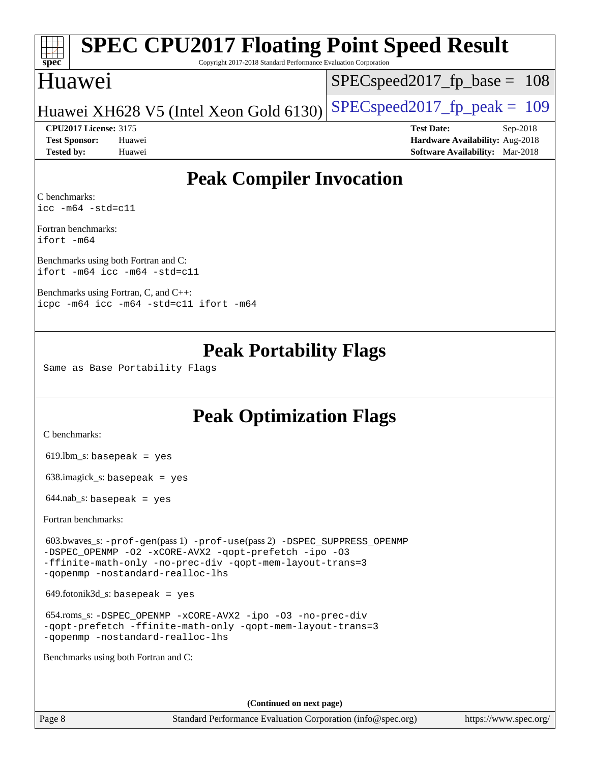# **[spec](http://www.spec.org/)**

## **[SPEC CPU2017 Floating Point Speed Result](http://www.spec.org/auto/cpu2017/Docs/result-fields.html#SPECCPU2017FloatingPointSpeedResult)**

Copyright 2017-2018 Standard Performance Evaluation Corporation

## Huawei

SPECspeed2017 fp base =  $108$ 

## Huawei XH628 V5 (Intel Xeon Gold 6130) SPECspeed 2017 fp peak = 109

**[Tested by:](http://www.spec.org/auto/cpu2017/Docs/result-fields.html#Testedby)** Huawei **[Software Availability:](http://www.spec.org/auto/cpu2017/Docs/result-fields.html#SoftwareAvailability)** Mar-2018

**[CPU2017 License:](http://www.spec.org/auto/cpu2017/Docs/result-fields.html#CPU2017License)** 3175 **[Test Date:](http://www.spec.org/auto/cpu2017/Docs/result-fields.html#TestDate)** Sep-2018 **[Test Sponsor:](http://www.spec.org/auto/cpu2017/Docs/result-fields.html#TestSponsor)** Huawei **[Hardware Availability:](http://www.spec.org/auto/cpu2017/Docs/result-fields.html#HardwareAvailability)** Aug-2018

## **[Peak Compiler Invocation](http://www.spec.org/auto/cpu2017/Docs/result-fields.html#PeakCompilerInvocation)**

[C benchmarks](http://www.spec.org/auto/cpu2017/Docs/result-fields.html#Cbenchmarks): [icc -m64 -std=c11](http://www.spec.org/cpu2017/results/res2018q4/cpu2017-20181025-09291.flags.html#user_CCpeak_intel_icc_64bit_c11_33ee0cdaae7deeeab2a9725423ba97205ce30f63b9926c2519791662299b76a0318f32ddfffdc46587804de3178b4f9328c46fa7c2b0cd779d7a61945c91cd35)

[Fortran benchmarks:](http://www.spec.org/auto/cpu2017/Docs/result-fields.html#Fortranbenchmarks) [ifort -m64](http://www.spec.org/cpu2017/results/res2018q4/cpu2017-20181025-09291.flags.html#user_FCpeak_intel_ifort_64bit_24f2bb282fbaeffd6157abe4f878425411749daecae9a33200eee2bee2fe76f3b89351d69a8130dd5949958ce389cf37ff59a95e7a40d588e8d3a57e0c3fd751)

[Benchmarks using both Fortran and C](http://www.spec.org/auto/cpu2017/Docs/result-fields.html#BenchmarksusingbothFortranandC): [ifort -m64](http://www.spec.org/cpu2017/results/res2018q4/cpu2017-20181025-09291.flags.html#user_CC_FCpeak_intel_ifort_64bit_24f2bb282fbaeffd6157abe4f878425411749daecae9a33200eee2bee2fe76f3b89351d69a8130dd5949958ce389cf37ff59a95e7a40d588e8d3a57e0c3fd751) [icc -m64 -std=c11](http://www.spec.org/cpu2017/results/res2018q4/cpu2017-20181025-09291.flags.html#user_CC_FCpeak_intel_icc_64bit_c11_33ee0cdaae7deeeab2a9725423ba97205ce30f63b9926c2519791662299b76a0318f32ddfffdc46587804de3178b4f9328c46fa7c2b0cd779d7a61945c91cd35)

[Benchmarks using Fortran, C, and C++](http://www.spec.org/auto/cpu2017/Docs/result-fields.html#BenchmarksusingFortranCandCXX): [icpc -m64](http://www.spec.org/cpu2017/results/res2018q4/cpu2017-20181025-09291.flags.html#user_CC_CXX_FCpeak_intel_icpc_64bit_4ecb2543ae3f1412ef961e0650ca070fec7b7afdcd6ed48761b84423119d1bf6bdf5cad15b44d48e7256388bc77273b966e5eb805aefd121eb22e9299b2ec9d9) [icc -m64 -std=c11](http://www.spec.org/cpu2017/results/res2018q4/cpu2017-20181025-09291.flags.html#user_CC_CXX_FCpeak_intel_icc_64bit_c11_33ee0cdaae7deeeab2a9725423ba97205ce30f63b9926c2519791662299b76a0318f32ddfffdc46587804de3178b4f9328c46fa7c2b0cd779d7a61945c91cd35) [ifort -m64](http://www.spec.org/cpu2017/results/res2018q4/cpu2017-20181025-09291.flags.html#user_CC_CXX_FCpeak_intel_ifort_64bit_24f2bb282fbaeffd6157abe4f878425411749daecae9a33200eee2bee2fe76f3b89351d69a8130dd5949958ce389cf37ff59a95e7a40d588e8d3a57e0c3fd751)

## **[Peak Portability Flags](http://www.spec.org/auto/cpu2017/Docs/result-fields.html#PeakPortabilityFlags)**

Same as Base Portability Flags

## **[Peak Optimization Flags](http://www.spec.org/auto/cpu2017/Docs/result-fields.html#PeakOptimizationFlags)**

[C benchmarks](http://www.spec.org/auto/cpu2017/Docs/result-fields.html#Cbenchmarks):

619.lbm\_s: basepeak = yes

638.imagick\_s: basepeak = yes

 $644$ .nab\_s: basepeak = yes

[Fortran benchmarks](http://www.spec.org/auto/cpu2017/Docs/result-fields.html#Fortranbenchmarks):

 603.bwaves\_s: [-prof-gen](http://www.spec.org/cpu2017/results/res2018q4/cpu2017-20181025-09291.flags.html#user_peakPASS1_FFLAGSPASS1_LDFLAGS603_bwaves_s_prof_gen_5aa4926d6013ddb2a31985c654b3eb18169fc0c6952a63635c234f711e6e63dd76e94ad52365559451ec499a2cdb89e4dc58ba4c67ef54ca681ffbe1461d6b36)(pass 1) [-prof-use](http://www.spec.org/cpu2017/results/res2018q4/cpu2017-20181025-09291.flags.html#user_peakPASS2_FFLAGSPASS2_LDFLAGS603_bwaves_s_prof_use_1a21ceae95f36a2b53c25747139a6c16ca95bd9def2a207b4f0849963b97e94f5260e30a0c64f4bb623698870e679ca08317ef8150905d41bd88c6f78df73f19)(pass 2) [-DSPEC\\_SUPPRESS\\_OPENMP](http://www.spec.org/cpu2017/results/res2018q4/cpu2017-20181025-09291.flags.html#suite_peakPASS1_FOPTIMIZE603_bwaves_s_DSPEC_SUPPRESS_OPENMP) [-DSPEC\\_OPENMP](http://www.spec.org/cpu2017/results/res2018q4/cpu2017-20181025-09291.flags.html#suite_peakPASS2_FOPTIMIZE603_bwaves_s_DSPEC_OPENMP) [-O2](http://www.spec.org/cpu2017/results/res2018q4/cpu2017-20181025-09291.flags.html#user_peakPASS1_FOPTIMIZE603_bwaves_s_f-O2) [-xCORE-AVX2](http://www.spec.org/cpu2017/results/res2018q4/cpu2017-20181025-09291.flags.html#user_peakPASS2_FOPTIMIZE603_bwaves_s_f-xCORE-AVX2) [-qopt-prefetch](http://www.spec.org/cpu2017/results/res2018q4/cpu2017-20181025-09291.flags.html#user_peakPASS1_FOPTIMIZEPASS2_FOPTIMIZE603_bwaves_s_f-qopt-prefetch) [-ipo](http://www.spec.org/cpu2017/results/res2018q4/cpu2017-20181025-09291.flags.html#user_peakPASS2_FOPTIMIZE603_bwaves_s_f-ipo) [-O3](http://www.spec.org/cpu2017/results/res2018q4/cpu2017-20181025-09291.flags.html#user_peakPASS2_FOPTIMIZE603_bwaves_s_f-O3) [-ffinite-math-only](http://www.spec.org/cpu2017/results/res2018q4/cpu2017-20181025-09291.flags.html#user_peakPASS1_FOPTIMIZEPASS2_FOPTIMIZE603_bwaves_s_f_finite_math_only_cb91587bd2077682c4b38af759c288ed7c732db004271a9512da14a4f8007909a5f1427ecbf1a0fb78ff2a814402c6114ac565ca162485bbcae155b5e4258871) [-no-prec-div](http://www.spec.org/cpu2017/results/res2018q4/cpu2017-20181025-09291.flags.html#user_peakPASS2_FOPTIMIZE603_bwaves_s_f-no-prec-div) [-qopt-mem-layout-trans=3](http://www.spec.org/cpu2017/results/res2018q4/cpu2017-20181025-09291.flags.html#user_peakPASS1_FOPTIMIZEPASS2_FOPTIMIZE603_bwaves_s_f-qopt-mem-layout-trans_de80db37974c74b1f0e20d883f0b675c88c3b01e9d123adea9b28688d64333345fb62bc4a798493513fdb68f60282f9a726aa07f478b2f7113531aecce732043) [-qopenmp](http://www.spec.org/cpu2017/results/res2018q4/cpu2017-20181025-09291.flags.html#user_peakPASS2_FOPTIMIZE603_bwaves_s_qopenmp_16be0c44f24f464004c6784a7acb94aca937f053568ce72f94b139a11c7c168634a55f6653758ddd83bcf7b8463e8028bb0b48b77bcddc6b78d5d95bb1df2967) [-nostandard-realloc-lhs](http://www.spec.org/cpu2017/results/res2018q4/cpu2017-20181025-09291.flags.html#user_peakEXTRA_FOPTIMIZE603_bwaves_s_f_2003_std_realloc_82b4557e90729c0f113870c07e44d33d6f5a304b4f63d4c15d2d0f1fab99f5daaed73bdb9275d9ae411527f28b936061aa8b9c8f2d63842963b95c9dd6426b8a)

 $649.$ fotonik $3d$ <sub>-</sub>s: basepeak = yes

 654.roms\_s: [-DSPEC\\_OPENMP](http://www.spec.org/cpu2017/results/res2018q4/cpu2017-20181025-09291.flags.html#suite_peakFOPTIMIZE654_roms_s_DSPEC_OPENMP) [-xCORE-AVX2](http://www.spec.org/cpu2017/results/res2018q4/cpu2017-20181025-09291.flags.html#user_peakFOPTIMIZE654_roms_s_f-xCORE-AVX2) [-ipo](http://www.spec.org/cpu2017/results/res2018q4/cpu2017-20181025-09291.flags.html#user_peakFOPTIMIZE654_roms_s_f-ipo) [-O3](http://www.spec.org/cpu2017/results/res2018q4/cpu2017-20181025-09291.flags.html#user_peakFOPTIMIZE654_roms_s_f-O3) [-no-prec-div](http://www.spec.org/cpu2017/results/res2018q4/cpu2017-20181025-09291.flags.html#user_peakFOPTIMIZE654_roms_s_f-no-prec-div) [-qopt-prefetch](http://www.spec.org/cpu2017/results/res2018q4/cpu2017-20181025-09291.flags.html#user_peakFOPTIMIZE654_roms_s_f-qopt-prefetch) [-ffinite-math-only](http://www.spec.org/cpu2017/results/res2018q4/cpu2017-20181025-09291.flags.html#user_peakFOPTIMIZE654_roms_s_f_finite_math_only_cb91587bd2077682c4b38af759c288ed7c732db004271a9512da14a4f8007909a5f1427ecbf1a0fb78ff2a814402c6114ac565ca162485bbcae155b5e4258871) [-qopt-mem-layout-trans=3](http://www.spec.org/cpu2017/results/res2018q4/cpu2017-20181025-09291.flags.html#user_peakFOPTIMIZE654_roms_s_f-qopt-mem-layout-trans_de80db37974c74b1f0e20d883f0b675c88c3b01e9d123adea9b28688d64333345fb62bc4a798493513fdb68f60282f9a726aa07f478b2f7113531aecce732043) [-qopenmp](http://www.spec.org/cpu2017/results/res2018q4/cpu2017-20181025-09291.flags.html#user_peakFOPTIMIZE654_roms_s_qopenmp_16be0c44f24f464004c6784a7acb94aca937f053568ce72f94b139a11c7c168634a55f6653758ddd83bcf7b8463e8028bb0b48b77bcddc6b78d5d95bb1df2967) [-nostandard-realloc-lhs](http://www.spec.org/cpu2017/results/res2018q4/cpu2017-20181025-09291.flags.html#user_peakEXTRA_FOPTIMIZE654_roms_s_f_2003_std_realloc_82b4557e90729c0f113870c07e44d33d6f5a304b4f63d4c15d2d0f1fab99f5daaed73bdb9275d9ae411527f28b936061aa8b9c8f2d63842963b95c9dd6426b8a)

[Benchmarks using both Fortran and C](http://www.spec.org/auto/cpu2017/Docs/result-fields.html#BenchmarksusingbothFortranandC):

**(Continued on next page)**